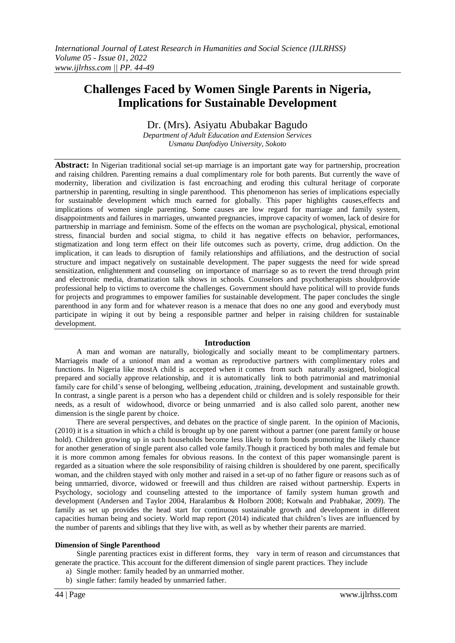# **Challenges Faced by Women Single Parents in Nigeria, Implications for Sustainable Development**

Dr. (Mrs). Asiyatu Abubakar Bagudo

*Department of Adult Education and Extension Services Usmanu Danfodiyo University, Sokoto*

**Abstract:** In Nigerian traditional social set-up marriage is an important gate way for partnership, procreation and raising children. Parenting remains a dual complimentary role for both parents. But currently the wave of modernity, liberation and civilization is fast encroaching and eroding this cultural heritage of corporate partnership in parenting, resulting in single parenthood. This phenomenon has series of implications especially for sustainable development which much earned for globally. This paper highlights causes,effects and implications of women single parenting. Some causes are low regard for marriage and family system, disappointments and failures in marriages, unwanted pregnancies, improve capacity of women, lack of desire for partnership in marriage and feminism. Some of the effects on the woman are psychological, physical, emotional stress, financial burden and social stigma, to child it has negative effects on behavior, performances, stigmatization and long term effect on their life outcomes such as poverty, crime, drug addiction. On the implication, it can leads to disruption of family relationships and affiliations, and the destruction of social structure and impact negatively on sustainable development. The paper suggests the need for wide spread sensitization, enlightenment and counseling on importance of marriage so as to revert the trend through print and electronic media, dramatization talk shows in schools. Counselors and psychotherapists shouldprovide professional help to victims to overcome the challenges. Government should have political will to provide funds for projects and programmes to empower families for sustainable development. The paper concludes the single parenthood in any form and for whatever reason is a menace that does no one any good and everybody must participate in wiping it out by being a responsible partner and helper in raising children for sustainable development.

### **Introduction**

A man and woman are naturally, biologically and socially meant to be complimentary partners. Marriageis made of a unionof man and a woman as reproductive partners with complimentary roles and functions. In Nigeria like mostA child is accepted when it comes from such naturally assigned, biological prepared and socially approve relationship, and it is automatically link to both patrimonial and matrimonial family care for child's sense of belonging, wellbeing ,education, ,training, development and sustainable growth. In contrast, a single parent is a person who has a dependent child or children and is solely responsible for their needs, as a result of widowhood, divorce or being unmarried and is also called solo parent, another new dimension is the single parent by choice.

There are several perspectives, and debates on the practice of single parent. In the opinion of Macionis, (2010) it is a situation in which a child is brought up by one parent without a partner (one parent family or house hold). Children growing up in such households become less likely to form bonds promoting the likely chance for another generation of single parent also called vole family.Though it practiced by both males and female but it is more common among females for obvious reasons. In the context of this paper womansingle parent is regarded as a situation where the sole responsibility of raising children is shouldered by one parent, specifically woman, and the children stayed with only mother and raised in a set-up of no father figure or reasons such as of being unmarried, divorce, widowed or freewill and thus children are raised without partnership. Experts in Psychology, sociology and counseling attested to the importance of family system human growth and development (Andersen and Taylor 2004, Haralambus & Holborn 2008; Kotwaln and Prabhakar, 2009). The family as set up provides the head start for continuous sustainable growth and development in different capacities human being and society. World map report (2014) indicated that children's lives are influenced by the number of parents and siblings that they live with, as well as by whether their parents are married.

#### **Dimension of Single Parenthood**

Single parenting practices exist in different forms, they vary in term of reason and circumstances that generate the practice. This account for the different dimension of single parent practices. They include

- a) Single mother: family headed by an unmarried mother.
- b) single father: family headed by unmarried father.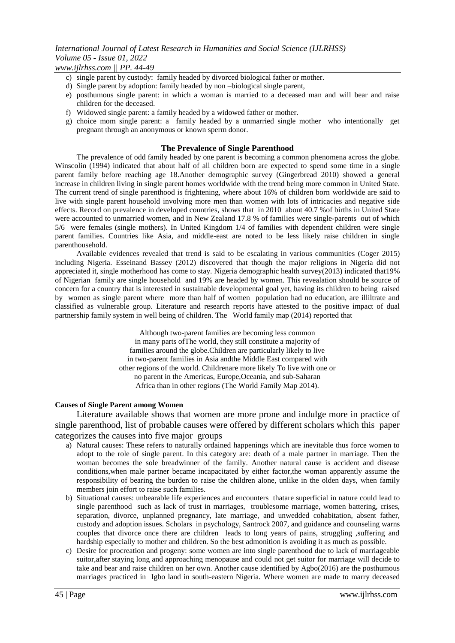*www.ijlrhss.com || PP. 44-49*

- c) single parent by custody: family headed by divorced biological father or mother.
- d) Single parent by adoption: family headed by non –biological single parent,
- e) posthumous single parent: in which a woman is married to a deceased man and will bear and raise children for the deceased.
- f) Widowed single parent: a family headed by a widowed father or mother.
- g) choice mom single parent: a family headed by a unmarried single mother who intentionally get pregnant through an anonymous or known sperm donor.

### **The Prevalence of Single Parenthood**

The prevalence of odd family headed by one parent is becoming a common phenomena across the globe. Winscolin (1994) indicated that about half of all children born are expected to spend some time in a single parent family before reaching age 18.Another demographic survey (Gingerbread 2010) showed a general increase in children living in single parent homes worldwide with the trend being more common in United State. The current trend of single parenthood is frightening, where about 16% of children born worldwide are said to live with single parent household involving more men than women with lots of intricacies and negative side effects. Record on prevalence in developed countries, shows that in 2010 about 40.7 %of births in United State were accounted to unmarried women, and in New Zealand 17.8 % of families were single-parents out of which 5/6 were females (single mothers). In United Kingdom 1/4 of families with dependent children were single parent families. Countries like Asia, and middle-east are noted to be less likely raise children in single parenthousehold.

Available evidences revealed that trend is said to be escalating in various communities (Coger 2015) including Nigeria. Esseinand Bassey (2012) discovered that though the major religions in Nigeria did not appreciated it, single motherhood has come to stay. Nigeria demographic health survey(2013) indicated that19% of Nigerian family are single household and 19% are headed by women. This revealation should be source of concern for a country that is interested in sustainable developmental goal yet, having its children to being raised by women as single parent where more than half of women population had no education, are illiltrate and classified as vulnerable group. Literature and research reports have attested to the positive impact of dual partnership family system in well being of children. The World family map (2014) reported that

> Although two-parent families are becoming less common in many parts ofThe world, they still constitute a majority of families around the globe.Children are particularly likely to live in two-parent families in Asia andthe Middle East compared with other regions of the world. Childrenare more likely To live with one or no parent in the Americas, Europe,Oceania, and sub-Saharan Africa than in other regions (The World Family Map 2014).

#### **Causes of Single Parent among Women**

Literature available shows that women are more prone and indulge more in practice of single parenthood, list of probable causes were offered by different scholars which this paper categorizes the causes into five major groups

- a) Natural causes: These refers to naturally ordained happenings which are inevitable thus force women to adopt to the role of single parent. In this category are: death of a male partner in marriage. Then the woman becomes the sole breadwinner of the family. Another natural cause is accident and disease conditions,when male partner became incapacitated by either factor,the woman apparently assume the responsibility of bearing the burden to raise the children alone, unlike in the olden days, when family members join effort to raise such families.
- b) Situational causes: unbearable life experiences and encounters thatare superficial in nature could lead to single parenthood such as lack of trust in marriages, troublesome marriage, women battering, crises, separation, divorce, unplanned pregnancy, late marriage, and unwedded cohabitation, absent father, custody and adoption issues. Scholars in psychology, Santrock 2007, and guidance and counseling warns couples that divorce once there are children leads to long years of pains, struggling ,suffering and hardship especially to mother and children. So the best admonition is avoiding it as much as possible.
- c) Desire for procreation and progeny: some women are into single parenthood due to lack of marriageable suitor,after staying long and approaching menopause and could not get suitor for marriage will decide to take and bear and raise children on her own. Another cause identified by Agbo(2016) are the posthumous marriages practiced in Igbo land in south-eastern Nigeria. Where women are made to marry deceased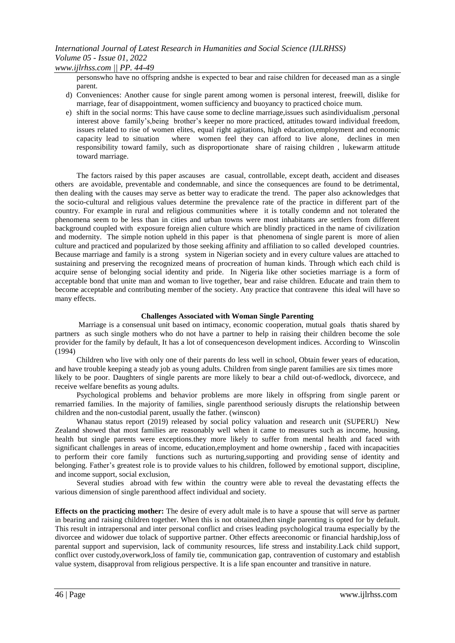*www.ijlrhss.com || PP. 44-49*

personswho have no offspring andshe is expected to bear and raise children for deceased man as a single parent.

- d) Conveniences: Another cause for single parent among women is personal interest, freewill, dislike for marriage, fear of disappointment, women sufficiency and buoyancy to practiced choice mum.
- e) shift in the social norms: This have cause some to decline marriage,issues such asindividualism ,personal interest above family's,being brother's keeper no more practiced, attitudes toward individual freedom, issues related to rise of women elites, equal right agitations, high education,employment and economic capacity lead to situation where women feel they can afford to live alone, declines in men responsibility toward family, such as disproportionate share of raising children , lukewarm attitude toward marriage.

The factors raised by this paper ascauses are casual, controllable, except death, accident and diseases others are avoidable, preventable and condemnable, and since the consequences are found to be detrimental, then dealing with the causes may serve as better way to eradicate the trend. The paper also acknowledges that the socio-cultural and religious values determine the prevalence rate of the practice in different part of the country. For example in rural and religious communities where it is totally condemn and not tolerated the phenomena seem to be less than in cities and urban towns were most inhabitants are settlers from different background coupled with exposure foreign alien culture which are blindly practiced in the name of civilization and modernity. The simple notion upheld in this paper is that phenomena of single parent is more of alien culture and practiced and popularized by those seeking affinity and affiliation to so called developed countries. Because marriage and family is a strong system in Nigerian society and in every culture values are attached to sustaining and preserving the recognized means of procreation of human kinds. Through which each child is acquire sense of belonging social identity and pride. In Nigeria like other societies marriage is a form of acceptable bond that unite man and woman to live together, bear and raise children. Educate and train them to become acceptable and contributing member of the society. Any practice that contravene this ideal will have so many effects.

### **Challenges Associated with Woman Single Parenting**

Marriage is a consensual unit based on intimacy, economic cooperation, mutual goals thatis shared by partners as such single mothers who do not have a partner to help in raising their children become the sole provider for the family by default, It has a lot of consequenceson development indices. According to Winscolin (1994)

Children who live with only one of their parents do less well in school, Obtain fewer years of education, and have trouble keeping a steady job as young adults. Children from single parent families are six times more likely to be poor. Daughters of single parents are more likely to bear a child out-of-wedlock, divorcece, and receive welfare benefits as young adults.

Psychological problems and behavior problems are more likely in offspring from single parent or remarried families. In the majority of families, single parenthood seriously disrupts the relationship between children and the non-custodial parent, usually the father. (winscon)

Whanau status report (2019) released by social policy valuation and research unit (SUPERU) New Zealand showed that most families are reasonably well when it came to measures such as income, housing, health but single parents were exceptions.they more likely to suffer from mental health and faced with significant challenges in areas of income, education,employment and home ownership , faced with incapacities to perform their core family functions such as nurturing,supporting and providing sense of identity and belonging. Father's greatest role is to provide values to his children, followed by emotional support, discipline, and income support, social exclusion,

Several studies abroad with few within the country were able to reveal the devastating effects the various dimension of single parenthood affect individual and society.

**Effects on the practicing mother:** The desire of every adult male is to have a spouse that will serve as partner in bearing and raising children together. When this is not obtained,then single parenting is opted for by default. This result in intrapersonal and inter personal conflict and crises leading psychological trauma especially by the divorcee and widower due tolack of supportive partner. Other effects areeconomic or financial hardship,loss of parental support and supervision, lack of community resources, life stress and instability.Lack child support, conflict over custody,overwork,loss of family tie, communication gap, contravention of customary and establish value system, disapproval from religious perspective. It is a life span encounter and transitive in nature.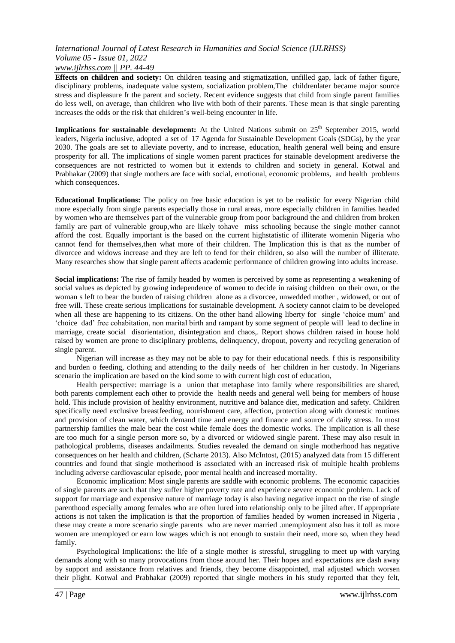### *International Journal of Latest Research in Humanities and Social Science (IJLRHSS) Volume 05 - Issue 01, 2022 www.ijlrhss.com || PP. 44-49*

**Effects on children and society:** On children teasing and stigmatization, unfilled gap, lack of father figure, disciplinary problems, inadequate value system, socialization problem,The childrenlater became major source stress and displeasure fr the parent and society. Recent evidence suggests that child from single parent families do less well, on average, than children who live with both of their parents. These mean is that single parenting increases the odds or the risk that children's well-being encounter in life.

**Implications for sustainable development:** At the United Nations submit on 25<sup>th</sup> September 2015, world leaders, Nigeria inclusive, adopted a set of 17 Agenda for Sustainable Development Goals (SDGs), by the year 2030. The goals are set to alleviate poverty, and to increase, education, health general well being and ensure prosperity for all. The implications of single women parent practices for stainable development arediverse the consequences are not restricted to women but it extends to children and society in general. Kotwal and Prabhakar (2009) that single mothers are face with social, emotional, economic problems, and health problems which consequences.

**Educational Implications:** The policy on free basic education is yet to be realistic for every Nigerian child more especially from single parents especially those in rural areas, more especially children in families headed by women who are themselves part of the vulnerable group from poor background the and children from broken family are part of vulnerable group,who are likely tohave miss schooling because the single mother cannot afford the cost. Equally important is the based on the current highstatistic of illiterate womenin Nigeria who cannot fend for themselves,then what more of their children. The Implication this is that as the number of divorcee and widows increase and they are left to fend for their children, so also will the number of illiterate. Many researches show that single parent affects academic performance of children growing into adults increase.

**Social implications:** The rise of family headed by women is perceived by some as representing a weakening of social values as depicted by growing independence of women to decide in raising children on their own, or the woman s left to bear the burden of raising children alone as a divorcee, unwedded mother , widowed, or out of free will. These create serious implications for sustainable development. A society cannot claim to be developed when all these are happening to its citizens. On the other hand allowing liberty for single 'choice mum' and 'choice dad' free cohabitation, non marital birth and rampant by some segment of people will lead to decline in marriage, create social disorientation, disintegration and chaos,. Report shows children raised in house hold raised by women are prone to disciplinary problems, delinquency, dropout, poverty and recycling generation of single parent.

Nigerian will increase as they may not be able to pay for their educational needs. f this is responsibility and burden o feeding, clothing and attending to the daily needs of her children in her custody. In Nigerians scenario the implication are based on the kind some to with current high cost of education,

Health perspective: marriage is a union that metaphase into family where responsibilities are shared, both parents complement each other to provide the health needs and general well being for members of house hold. This include provision of healthy environment, nutritive and balance diet, medication and safety. Children specifically need exclusive breastfeeding, nourishment care, affection, protection along with domestic routines and provision of clean water, which demand time and energy and finance and source of daily stress. In most partnership families the male bear the cost while female does the domestic works. The implication is all these are too much for a single person more so, by a divorced or widowed single parent. These may also result in pathological problems, diseases andailments. Studies revealed the demand on single motherhood has negative consequences on her health and children, (Scharte 2013). Also McIntost, (2015) analyzed data from 15 different countries and found that single motherhood is associated with an increased risk of multiple health problems including adverse cardiovascular episode, poor mental health and increased mortality.

Economic implication: Most single parents are saddle with economic problems. The economic capacities of single parents are such that they suffer higher poverty rate and experience severe economic problem. Lack of support for marriage and expensive nature of marriage today is also having negative impact on the rise of single parenthood especially among females who are often lured into relationship only to be jilted after. If appropriate actions is not taken the implication is that the proportion of families headed by women increased in Nigeria , these may create a more scenario single parents who are never married .unemployment also has it toll as more women are unemployed or earn low wages which is not enough to sustain their need, more so, when they head family.

Psychological Implications: the life of a single mother is stressful, struggling to meet up with varying demands along with so many provocations from those around her. Their hopes and expectations are dash away by support and assistance from relatives and friends, they become disappointed, mal adjusted which worsen their plight. Kotwal and Prabhakar (2009) reported that single mothers in his study reported that they felt,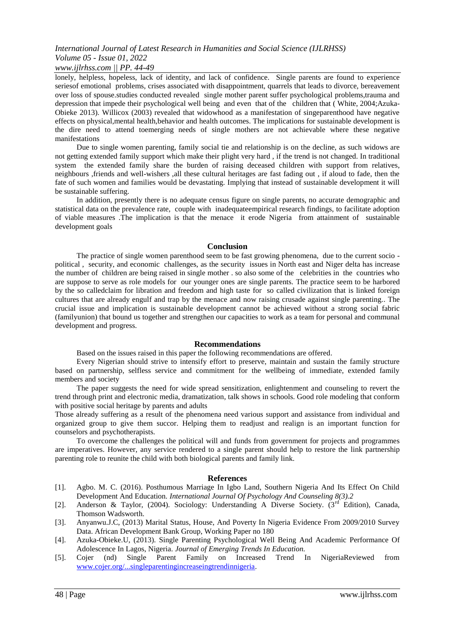*www.ijlrhss.com || PP. 44-49*

lonely, helpless, hopeless, lack of identity, and lack of confidence. Single parents are found to experience seriesof emotional problems, crises associated with disappointment, quarrels that leads to divorce, bereavement over loss of spouse.studies conducted revealed single mother parent suffer psychological problems,trauma and depression that impede their psychological well being and even that of the children that (White, 2004;Azuka-Obieke 2013). Willicox (2003) revealed that widowhood as a manifestation of singeparenthood have negative effects on physical,mental health,behavior and health outcomes. The implications for sustainable development is the dire need to attend toemerging needs of single mothers are not achievable where these negative manifestations

Due to single women parenting, family social tie and relationship is on the decline, as such widows are not getting extended family support which make their plight very hard , if the trend is not changed. In traditional system the extended family share the burden of raising deceased children with support from relatives, neighbours ,friends and well-wishers ,all these cultural heritages are fast fading out , if aloud to fade, then the fate of such women and families would be devastating. Implying that instead of sustainable development it will be sustainable suffering.

In addition, presently there is no adequate census figure on single parents, no accurate demographic and statistical data on the prevalence rate, couple with inadequateempirical research findings, to facilitate adoption of viable measures .The implication is that the menace it erode Nigeria from attainment of sustainable development goals

#### **Conclusion**

The practice of single women parenthood seem to be fast growing phenomena, due to the current socio political , security, and economic challenges, as the security issues in North east and Niger delta has increase the number of children are being raised in single mother . so also some of the celebrities in the countries who are suppose to serve as role models for our younger ones are single parents. The practice seem to be harbored by the so calledclaim for libration and freedom and high taste for so called civilization that is linked foreign cultures that are already engulf and trap by the menace and now raising crusade against single parenting.. The crucial issue and implication is sustainable development cannot be achieved without a strong social fabric (familyunion) that bound us together and strengthen our capacities to work as a team for personal and communal development and progress.

#### **Recommendations**

Based on the issues raised in this paper the following recommendations are offered.

Every Nigerian should strive to intensify effort to preserve, maintain and sustain the family structure based on partnership, selfless service and commitment for the wellbeing of immediate, extended family members and society

The paper suggests the need for wide spread sensitization, enlightenment and counseling to revert the trend through print and electronic media, dramatization, talk shows in schools. Good role modeling that conform with positive social heritage by parents and adults

Those already suffering as a result of the phenomena need various support and assistance from individual and organized group to give them succor. Helping them to readjust and realign is an important function for counselors and psychotherapists.

To overcome the challenges the political will and funds from government for projects and programmes are imperatives. However, any service rendered to a single parent should help to restore the link partnership parenting role to reunite the child with both biological parents and family link.

#### **References**

- [1]. Agbo. M. C. (2016). Posthumous Marriage In Igbo Land, Southern Nigeria And Its Effect On Child Development And Education. *International Journal Of Psychology And Counseling 8(3).2*
- [2]. Anderson & Taylor, (2004). Sociology: Understanding A Diverse Society. ( $3<sup>rd</sup>$  Edition), Canada, Thomson Wadsworth.
- [3]. Anyanwu.J.C, (2013) Marital Status, House, And Poverty In Nigeria Evidence From 2009/2010 Survey Data. African Development Bank Group, Working Paper no 180
- [4]. Azuka-Obieke.U, (2013). Single Parenting Psychological Well Being And Academic Performance Of Adolescence In Lagos, Nigeria. *Journal of Emerging Trends In Education.*
- [5]. Cojer (nd) Single Parent Family on Increased Trend In NigeriaReviewed from [www.cojer.org/...singleparentingincreaseingtrendinnigeria.](http://www.cojer.org/...singleparentingincreaseingtrendinnigeria)